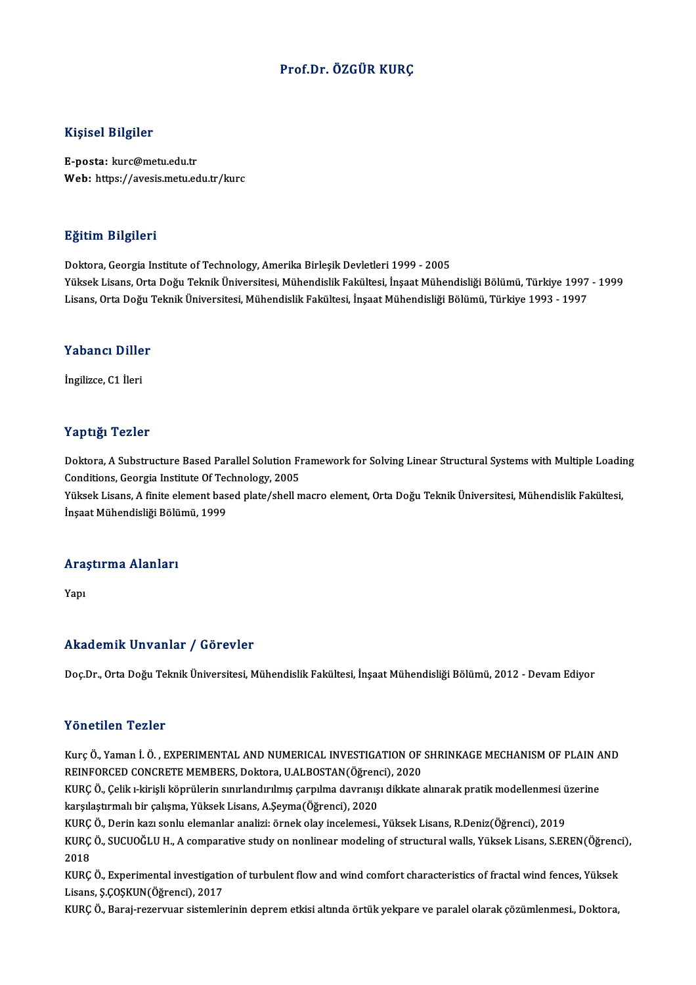#### Prof.Dr. ÖZGÜR KURÇ

#### Kişisel Bilgiler

E-posta: kurc@metu.edu.tr Web: https://avesis.metu.edu.tr/kurc

#### Eğitim Bilgileri

Doktora, Georgia Institute of Technology, Amerika Birleşik Devletleri 1999 - 2005 YüksekLisans,OrtaDoğuTeknikÜniversitesi,MühendislikFakültesi, İnşaatMühendisliğiBölümü,Türkiye 1997 -1999 Lisans, Orta Doğu Teknik Üniversitesi, Mühendislik Fakültesi, İnşaat Mühendisliği Bölümü, Türkiye 1993 - 1997

## Lisans, orta bogu<br>Yabancı Diller Y<mark>abancı Dille</mark><br>İngilizce, C1 İleri

# İngilizce, C1 İleri<br>Yaptığı Tezler

Yaptığı Tezler<br>Doktora, A Substructure Based Parallel Solution Framework for Solving Linear Structural Systems with Multiple Loading<br>Conditions, Coorgia Institute Of Technology, 2005 Tup 1915<br>Doktora, A Substructure Based Parallel Solution F1<br>Conditions, Georgia Institute Of Technology, 2005<br>Viktok Lisans, A finite clement based plate/shell n Doktora, A Substructure Based Parallel Solution Framework for Solving Linear Structural Systems with Multiple Loadin<br>Conditions, Georgia Institute Of Technology, 2005<br>Yüksek Lisans, A finite element based plate/shell macro

Conditions, Georgia Institute Of Tec<br>Yüksek Lisans, A finite element bas<br>İnşaat Mühendisliği Bölümü, 1999

## ınşaat munendisiigi Bolu<br>Araştırma Alanları Ara:<br><sub>Yapı</sub>

## Akademik Unvanlar / Görevler

Doç.Dr., Orta Doğu Teknik Üniversitesi, Mühendislik Fakültesi, İnşaat Mühendisliği Bölümü, 2012 - Devam Ediyor

#### Yönetilen Tezler

Kurç Ö., Yaman İ. Ö., EXPERIMENTAL AND NUMERICAL INVESTIGATION OF SHRINKAGE MECHANISM OF PLAIN AND REINFORCED CONCRETE MEMBERS, Doktora, U.ALBOSTAN(Öğrenci), 2020 Kurç Ö., Yaman İ. Ö. , EXPERIMENTAL AND NUMERICAL INVESTIGATION OF SHRINKAGE MECHANISM OF PLAIN A<br>REINFORCED CONCRETE MEMBERS, Doktora, U.ALBOSTAN(Öğrenci), 2020<br>KURÇ Ö., Çelik ı-kirişli köprülerin sınırlandırılmış çarpılm

REINFORCED CONCRETE MEMBERS, Doktora, U.ALBOSTAN(Öğrenci), KURÇ Ö., Çelik ı-kirişli köprülerin sınırlandırılmış çarpılma davranış<br>karşılaştırmalı bir çalışma, Yüksek Lisans, A.Şeyma(Öğrenci), 2020<br>KURÇ Ö. Derin karı şenlu KURÇ Ö., Çelik ı-kirişli köprülerin sınırlandırılmış çarpılma davranışı dikkate alınarak pratik modellenmesi ü<br>karşılaştırmalı bir çalışma, Yüksek Lisans, A.Şeyma(Öğrenci), 2020<br>KURÇ Ö., Derin kazı sonlu elemanlar analizi:

KURÇ Ö., Derin kazı sonlu elemanlar analizi: örnek olay incelemesi., Yüksek Lisans, R.Deniz(Öğrenci), 2019

karşılaştırmalı bir çalışma, Yüksek Lisans, A.Şeyma(Öğrenci), 2020<br>KURÇ Ö., Derin kazı sonlu elemanlar analizi: örnek olay incelemesi., Yüksek Lisans, R.Deniz(Öğrenci), 2019<br>KURÇ Ö., SUCUOĞLU H., A comparative study on non KURÇ Ö., SUCUOĞLU H., A comparative study on nonlinear modeling of structural walls, Yüksek Lisans, S.EREN(Öğrenc<br>2018<br>KURÇ Ö., Experimental investigation of turbulent flow and wind comfort characteristics of fractal wind

2018<br>KURÇ Ö., Experimental investigatio<br>Lisans, Ş.ÇOŞKUN(Öğrenci), 2017<br>KURÇ Ö. Boraj ratarıyar sistemle KURÇ Ö., Experimental investigation of turbulent flow and wind comfort characteristics of fractal wind fences, Yüksek<br>Lisans, Ş.ÇOŞKUN(Öğrenci), 2017<br>KURÇ Ö., Baraj-rezervuar sistemlerinin deprem etkisi altında örtük yekpa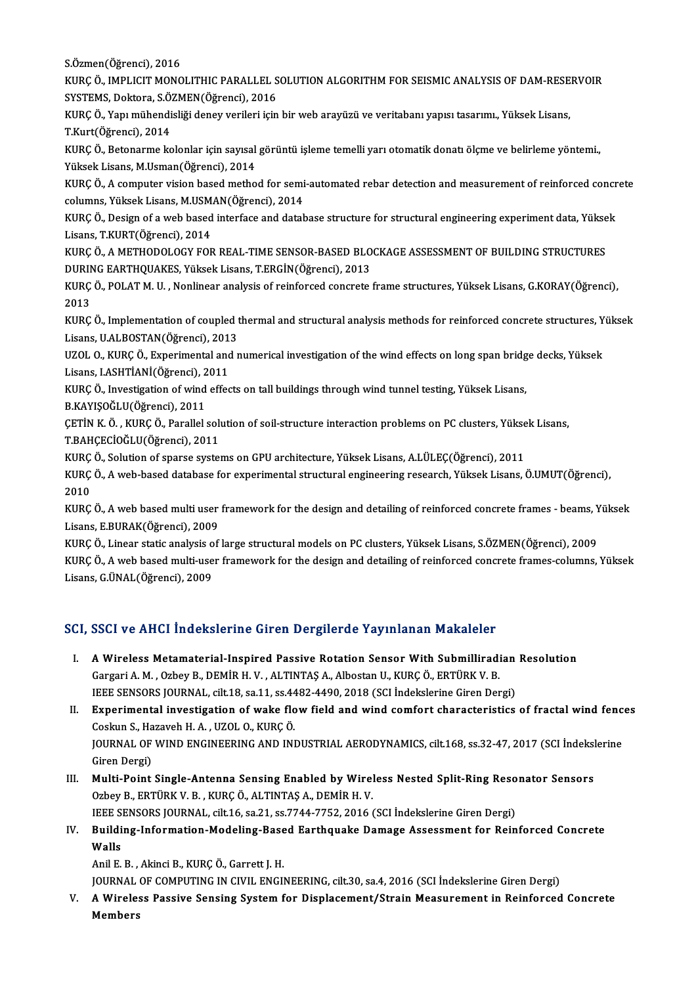S.Özmen(Öğrenci),2016

S.Özmen(Öğrenci), 2016<br>KURÇ Ö., IMPLICIT MONOLITHIC PARALLEL SOLUTION ALGORITHM FOR SEISMIC ANALYSIS OF DAM-RESERVOIR<br>SYSTEMS, Dektora S.ÖZMEN(Öğrengi), 2016 S.Özmen(Öğrenci), 2016<br>KURÇ Ö., IMPLICIT MONOLITHIC PARALLEL S<br>SYSTEMS, Doktora, S.ÖZMEN(Öğrenci), 2016<br>KURÇ Ö. Van mühandialiği danay yarıları isin KURÇ Ö., IMPLICIT MONOLITHIC PARALLEL SOLUTION ALGORITHM FOR SEISMIC ANALYSIS OF DAM-RESE<br>SYSTEMS, Doktora, S.ÖZMEN(Öğrenci), 2016<br>KURÇ Ö., Yapı mühendisliği deney verileri için bir web arayüzü ve veritabanı yapısı tasarım

SYSTEMS, Doktora, S.ÖZMEN(Öğrenci), 2016<br>KURÇ Ö., Yapı mühendisliği deney verileri için bir web arayüzü ve veritabanı yapısı tasarımı., Yüksek Lisans,<br>T.Kurt(Öğrenci), 2014 KURÇ Ö., Yapı mühendisliği deney verileri için bir web arayüzü ve veritabanı yapısı tasarımı., Yüksek Lisans,<br>T.Kurt(Öğrenci), 2014<br>KURÇ Ö., Betonarme kolonlar için sayısal görüntü işleme temelli yarı otomatik donatı ölçme

T.Kurt(Öğrenci), 2014<br>KURÇ Ö., Betonarme kolonlar için sayısal<br>Yüksek Lisans, M.Usman(Öğrenci), 2014<br>KURC Ö. A somnutor vision based matho KURÇ Ö., Betonarme kolonlar için sayısal görüntü işleme temelli yarı otomatik donatı ölçme ve belirleme yöntemi.,<br>Yüksek Lisans, M.Usman(Öğrenci), 2014<br>KURÇ Ö., A computer vision based method for semi-automated rebar detec

Yüksek Lisans, M.Usman(Öğrenci), 2014<br>KURÇ Ö., A computer vision based method for semi-automated rebar detection and measurement of reinforced concrete<br>columns, Yüksek Lisans, M.USMAN(Öğrenci), 2014 KURÇ Ö., A computer vision based method for semi-automated rebar detection and measurement of reinforced concr<br>columns, Yüksek Lisans, M.USMAN(Öğrenci), 2014<br>KURÇ Ö., Design of a web based interface and database structure

columns, Yüksek Lisans, M.USM.<br>KURÇ Ö., Design of a web based<br>Lisans, T.KURT(Öğrenci), 2014<br>KURÇ Ö. A METHODOLOCY FOR KURÇ Ö., Design of a web based interface and database structure for structural engineering experiment data, Yükse<br>Lisans, T.KURT(Öğrenci), 2014<br>KURÇ Ö., A METHODOLOGY FOR REAL-TIME SENSOR-BASED BLOCKAGE ASSESSMENT OF BUILD

Lisans, T.KURT(Öğrenci), 2014<br>KURÇ Ö., A METHODOLOGY FOR REAL-TIME SENSOR-BASED BLOCKAGE ASSESSMENT OF BUILDING STRUCTURES<br>DURING EARTHQUAKES, Yüksek Lisans, T.ERGİN(Öğrenci), 2013 KURÇ Ö., A METHODOLOGY FOR REAL-TIME SENSOR-BASED BLOCKAGE ASSESSMENT OF BUILDING STRUCTURES<br>DURING EARTHQUAKES, Yüksek Lisans, T.ERGİN(Öğrenci), 2013<br>KURÇ Ö., POLAT M. U. , Nonlinear analysis of reinforced concrete frame

DURIN<br>KURÇ<br>2013<br><sup>VURC</sup> KURÇ Ö., POLAT M. U. , Nonlinear analysis of reinforced concrete frame structures, Yüksek Lisans, G.KORAY(Öğrenci),<br>2013<br>KURÇ Ö., Implementation of coupled thermal and structural analysis methods for reinforced concrete st

2013<br>KURÇ Ö., Implementation of coupled t<br>Lisans, U.ALBOSTAN(Öğrenci), 2013<br>UZOL O. KURÇ Ö. Evnerimentel and t KURÇ Ö., Implementation of coupled thermal and structural analysis methods for reinforced concrete structures, Y<br>Lisans, U.ALBOSTAN(Öğrenci), 2013<br>UZOL O., KURÇ Ö., Experimental and numerical investigation of the wind effe

Lisans, U.ALBOSTAN(Öğrenci), 2013<br>UZOL O., KURÇ Ö., Experimental and numerical investigation of the wind effects on long span bridge decks, Yüksek<br>Lisans, I.ASHTİANİ(Öğrenci), 2011 UZOL O., KURÇ Ö., Experimental and numerical investigation of the wind effects on long span bridg<br>Lisans, I.ASHTİANİ(Öğrenci), 2011<br>KURÇ Ö., Investigation of wind effects on tall buildings through wind tunnel testing, Yüks Lisans, I.ASHTİANİ(Öğrenci), 2<br>KURÇ Ö., Investigation of wind<br>B.KAYIŞOĞLU(Öğrenci), 2011<br>CETİN K.Ö., KURÇ Ö. Parallalı

KURÇ Ö., Investigation of wind effects on tall buildings through wind tunnel testing, Yüksek Lisans,<br>B.KAYIŞOĞLU(Öğrenci), 2011<br>ÇETİN K. Ö. , KURÇ Ö., Parallel solution of soil-structure interaction problems on PC clusters B.KAYIŞOĞLU(Öğrenci), 2011<br>ÇETİN K. Ö. , KURÇ Ö., Parallel sol<br>T.BAHÇECİOĞLU(Öğrenci), 2011 CETİN K. Ö. , KURÇ Ö., Parallel solution of soil-structure interaction problems on PC clusters, Yükse<br>T.BAHÇECİOĞLU(Öğrenci), 2011<br>KURÇ Ö., Solution of sparse systems on GPU architecture, Yüksek Lisans, A.LÜLEÇ(Öğrenci), 2

T.BAHÇECİOĞLU(Öğrenci), 2011<br>KURÇ Ö., Solution of sparse systems on GPU architecture, Yüksek Lisans, A.LÜLEÇ(Öğrenci), 2011<br>KURÇ Ö., A web-based database for experimental structural engineering research, Yüksek Lisans, Ö.U KURÇ Ö., Solution of sparse systems on GPU architecture, Yüksek Lisans, A.LÜLEÇ(Öğrenci), 2011<br>KURÇ Ö., A web-based database for experimental structural engineering research, Yüksek Lisans, Ö.UMUT(Öğrenci),<br>2010<br>KURÇ Ö., A KURÇ Ö., A web-based database for experimental structural engineering research, Yüksek Lisans, Ö.UMUT(Öğrenci),<br>2010<br>KURÇ Ö., A web based multi user framework for the design and detailing of reinforced concrete frames - be

Lisans,E.BURAK(Öğrenci),2009 KURÇ Ö., A web based multi user framework for the design and detailing of reinforced concrete frames - beams, Y<br>Lisans, E.BURAK(Öğrenci), 2009<br>KURÇ Ö., Linear static analysis of large structural models on PC clusters, Yüks

Lisans, E.BURAK(Öğrenci), 2009<br>KURÇ Ö., Linear static analysis of large structural models on PC clusters, Yüksek Lisans, S.ÖZMEN(Öğrenci), 2009<br>KURÇ Ö., A web based multi-user framework for the design and detailing of rein KURÇ Ö., Linear static analysis o<br>KURÇ Ö., A web based multi-use<br>Lisans, G.ÜNAL(Öğrenci), 2009

# Lisans, G.ÜNAL(Öğrenci), 2009<br>SCI, SSCI ve AHCI İndekslerine Giren Dergilerde Yayınlanan Makaleler

- CI, SSCI ve AHCI İndekslerine Giren Dergilerde Yayınlanan Makaleler<br>I. A Wireless Metamaterial-Inspired Passive Rotation Sensor With Submilliradian Resolution<br>Cargari A M. Orboy B. DEMİR H. V. ALTINTAS A. Albestan U. KURC Gargari Valitici Indonesiale direkt Bergherde Taylindinin Prandreesi<br>A Wireless Metamaterial-Inspired Passive Rotation Sensor With Submilliradi<br>Gargari A. M., Ozbey B., DEMİR H. V., ALTINTAŞ A., Albostan U., KURÇÖ., ERTÜRK A Wireless Metamaterial-Inspired Passive Rotation Sensor With Submilliradian<br>Gargari A. M. , Ozbey B., DEMİR H. V. , ALTINTAŞ A., Albostan U., KURÇ Ö., ERTÜRK V. B.<br>IEEE SENSORS JOURNAL, cilt.18, sa.11, ss.4482-4490, 2018 Gargari A. M. , Ozbey B., DEMİR H. V. , ALTINTAŞ A., Albostan U., KURÇ Ö., ERTÜRK V. B.<br>IEEE SENSORS JOURNAL, cilt.18, sa.11, ss.4482-4490, 2018 (SCI İndekslerine Giren Dergi)<br>II. Experimental investigation of wake flow fi
- IEEE SENSORS JOURNAL, cilt.18, sa.11, ss.44<br>Experimental investigation of wake flo<br>Coskun S., Hazaveh H. A. , UZOL O., KURÇÖ.<br>JOURNAL OF WIND ENCINEERING AND INJ Experimental investigation of wake flow field and wind comfort characteristics of fractal wind fenc<br>Coskun S., Hazaveh H. A. , UZOL O., KURÇ Ö.<br>JOURNAL OF WIND ENGINEERING AND INDUSTRIAL AERODYNAMICS, cilt.168, ss.32-47, 2 Coskun S., Hazaveh H. A. , UZOL O., KURÇ Ö.<br>JOURNAL OF WIND ENGINEERING AND INDUSTRIAL AERODYNAMICS, cilt.168, ss.32-47, 2017 (SCI İndekslerine<br>Giren Dergi) JOURNAL OF WIND ENGINEERING AND INDUSTRIAL AERODYNAMICS, cilt.168, ss.32-47, 2017 (SCI İndeksl<br>Giren Dergi)<br>III. Multi-Point Single-Antenna Sensing Enabled by Wireless Nested Split-Ring Resonator Sensors<br>Orboy B. ERTÜRKV B
- Giren Dergi)<br>Multi-Point Single-Antenna Sensing Enabled by Wirel<br>Ozbey B., ERTÜRK V. B. , KURÇ Ö., ALTINTAŞ A., DEMİR H. V.<br>JEEE SENSORS JOUPNAL, gilt 16, 89.21, 89.7744.7752.2016 ( Multi-Point Single-Antenna Sensing Enabled by Wireless Nested Split-Ring Reso<br>Ozbey B., ERTÜRK V. B. , KURÇ Ö., ALTINTAŞ A., DEMİR H. V.<br>IEEE SENSORS JOURNAL, cilt.16, sa.21, ss.7744-7752, 2016 (SCI İndekslerine Giren Derg Ozbey B., ERTÜRK V. B. , KURÇ Ö., ALTINTAŞ A., DEMİR H. V.<br>IEEE SENSORS JOURNAL, cilt.16, sa.21, ss.7744-7752, 2016 (SCI İndekslerine Giren Dergi)<br>IV. Building-Information-Modeling-Based Earthquake Damage Assessment for Re
- IEEE SENSORS JOURNAL, cilt.16, sa.21, ss.7744-7752, 2016 (SCI İndekslerine Giren Dergi)<br>Building-Information-Modeling-Based Earthquake Damage Assessment for Reir<br>Walls<br>Anil E. B. , Akinci B., KURÇ Ö., Garrett J. H. Building-Information-Modeling-Base<br>Walls<br>Anil E. B. , Akinci B., KURÇ Ö., Garrett J. H.<br>JOUPMAL OF COMBUTING IN CIVIL ENGU Walls<br>Anil E. B. , Akinci B., KURÇ Ö., Garrett J. H.<br>JOURNAL OF COMPUTING IN CIVIL ENGINEERING, cilt.30, sa.4, 2016 (SCI İndekslerine Giren Dergi)<br>A. Winalass Bassive Sansing System fan Displesement/Strein Measurement in B

V. A Wireless Passive Sensing System for Displacement/Strain Measurement in Reinforced Concrete<br>Members JOURNAL<br><mark>A Wirele:</mark><br>Members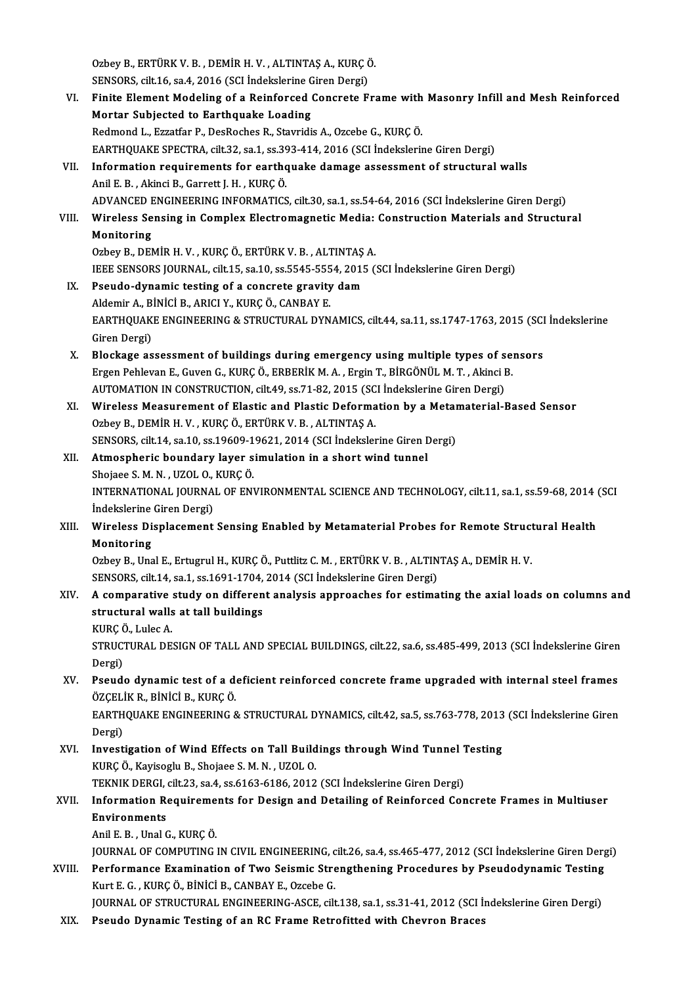Ozbey B., ERTÜRK V. B. , DEMİR H. V. , ALTINTAŞ A., KURÇÖ.<br>SENSORS, Silt 16, SS 4, 2016 (SCL İndekslerine Giren Dergi) Ozbey B., ERTÜRK V. B. , DEMİR H. V. , ALTINTAŞ A., KURÇ (<br>SENSORS, cilt.16, sa.4, 2016 (SCI İndekslerine Giren Dergi)<br>Finite Flament Modeling of a Beinforsed Generate E SENSORS, cilt.16, sa.4, 2016 (SCI Indekslerine Giren Dergi)

VI. Finite Element Modeling of a Reinforced Concrete Frame with Masonry Infill and Mesh Reinforced<br>Mortar Subjected to Earthquake Loading Redmond L., Ezzatfar P., DesRoches R., Stavridis A., Ozcebe G., KURÇÖ. EARTHQUAKE SPECTRA, cilt.32, sa.1, ss.393-414, 2016 (SCI İndekslerine Giren Dergi) Redmond L., Ezzatfar P., DesRoches R., Stavridis A., Ozcebe G., KURÇ Ö.<br>EARTHQUAKE SPECTRA, cilt.32, sa.1, ss.393-414, 2016 (SCI İndekslerine Giren Dergi)<br>VII. Information requirements for earthquake damage assessment of s EARTHQUAKE SPECTRA, cilt.32, sa.1, ss.39<br>Information requirements for earthc<br>Anil E. B. , Akinci B., Garrett J. H. , KURÇÖ.<br>ADVANGED ENGINEERING INFORMATICS Anil E. B. , Akinci B., Garrett J. H. , KURÇ Ö.<br>ADVANCED ENGINEERING INFORMATICS, cilt.30, sa.1, ss.54-64, 2016 (SCI İndekslerine Giren Dergi) Anil E. B. , Akinci B., Garrett J. H. , KURÇ Ö.<br>ADVANCED ENGINEERING INFORMATICS, cilt.30, sa.1, ss.54-64, 2016 (SCI İndekslerine Giren Dergi)<br>VIII. Wireless Sensing in Complex Electromagnetic Media: Construction Mater ADVANCED F<br>Wireless Se<br>Monitoring<br>Orboy B. DEN Wireless Sensing in Complex Electromagnetic Media:<br>Monitoring<br>Ozbey B., DEMİR H. V. , KURÇ Ö., ERTÜRK V. B. , ALTINTAŞ A.<br>JEEE SENSOPS JOUPMAL . 611:15 .89.10. SS 5545 5554 .2015 (. Monitoring<br>Ozbey B., DEMİR H. V. , KURÇ Ö., ERTÜRK V. B. , ALTINTAŞ A.<br>IEEE SENSORS JOURNAL, cilt.15, sa.10, ss.5545-5554, 2015 (SCI İndekslerine Giren Dergi) Ozbey B., DEMIR H. V., KURÇ Ö., ERTÜRK V. B., ALTINTAŞ<br>IEEE SENSORS JOURNAL, cilt.15, sa.10, ss.5545-5554, 2015<br>IX. Pseudo-dynamic testing of a concrete gravity dam **IEEE SENSORS JOURNAL, cilt.15, sa.10, ss.5545-555**<br>Pseudo-dynamic testing of a concrete gravity<br>Aldemir A., BİNİCİ B., ARICI Y., KURÇÖ., CANBAY E.<br>FARTHOUAKE ENCINEERINC & STRUCTURAL DYN Pseudo-dynamic testing of a concrete gravity dam<br>Aldemir A., BİNİCİ B., ARICI Y., KURÇ Ö., CANBAY E.<br>EARTHQUAKE ENGINEERING & STRUCTURAL DYNAMICS, cilt.44, sa.11, ss.1747-1763, 2015 (SCI İndekslerine<br>Ciron Dergi) Aldemir A., B.<br>EARTHQUAK.<br>Giren Dergi)<br>Plockage as EARTHQUAKE ENGINEERING & STRUCTURAL DYNAMICS, cilt.44, sa.11, ss.1747-1763, 2015 (SCI<br>Giren Dergi)<br>X. Blockage assessment of buildings during emergency using multiple types of sensors<br>Freen Behleven E. Guyen G. KURC Ö. ERR Giren Dergi)<br>Blockage assessment of buildings during emergency using multiple types of sen<br>Ergen Pehlevan E., Guven G., KURÇ Ö., ERBERİK M. A. , Ergin T., BİRGÖNÜL M. T. , Akinci B.<br>AUTOMATION IN CONSTRUCTION silt 40.93.71 Blockage assessment of buildings during emergency using multiple types of s<br>Ergen Pehlevan E., Guven G., KURÇ Ö., ERBERİK M. A. , Ergin T., BİRGÖNÜL M. T. , Akinci I<br>AUTOMATION IN CONSTRUCTION, cilt.49, ss.71-82, 2015 (SCI Ergen Pehlevan E., Guven G., KURÇ Ö., ERBERİK M. A. , Ergin T., BİRGÖNÜL M. T. , Akinci B.<br>AUTOMATION IN CONSTRUCTION, cilt.49, ss.71-82, 2015 (SCI İndekslerine Giren Dergi)<br>XI. Wireless Measurement of Elastic and Plastic AUTOMATION IN CONSTRUCTION, cilt.49, ss.71-82, 2015 (SCI İndekslerine Giren Dergi) Wireless Measurement of Elastic and Plastic Deformation by a Metar<br>Ozbey B., DEMİR H. V. , KURÇ Ö., ERTÜRK V. B. , ALTINTAŞ A.<br>SENSORS, cilt.14, sa.10, ss.19609-19621, 2014 (SCI İndekslerine Giren Dergi)<br>Atmospharis haunda XII. Atmospheric boundary layer simulation in a short wind tunnel<br>Shojaee S. M. N., UZOL O., KURÇ Ö. SENSORS, cilt.14, sa.10, ss.19609-1<br>Atmospheric boundary layer s<br>Shojaee S. M. N. , UZOL O., KURÇÖ.<br>INTERNATIONAL JOURNAL OF ENI Atmospheric boundary layer simulation in a short wind tunnel<br>Shojaee S. M. N. , UZOL O., KURÇ Ö.<br>INTERNATIONAL JOURNAL OF ENVIRONMENTAL SCIENCE AND TECHNOLOGY, cilt.11, sa.1, ss.59-68, 2014 (SCI<br>Indekslerine Ciren Dergi)

Shojaee S. M. N. , UZOL O.,<br>INTERNATIONAL JOURNA<br>İndekslerine Giren Dergi)<br>Wirelass Displasamant INTERNATIONAL JOURNAL OF ENVIRONMENTAL SCIENCE AND TECHNOLOGY, cilt.11, sa.1, ss.59-68, 2014 (<br>Indekslerine Giren Dergi)<br>XIII. Wireless Displacement Sensing Enabled by Metamaterial Probes for Remote Structural Health<br>M

## Indekslerine Giren Dergi)<br>XIII. Wireless Displacement Sensing Enabled by Metamaterial Probes for Remote Structural Health<br>Monitoring Wireless Displacement Sensing Enabled by Metamaterial Probes for Remote Struct<br>Monitoring<br>Ozbey B., Unal E., Ertugrul H., KURÇ Ö., Puttlitz C. M. , ERTÜRK V. B. , ALTINTAŞ A., DEMİR H. V.<br>SENSORS silt 14. se 1.58.1691.1794

Monitoring<br>Ozbey B., Unal E., Ertugrul H., KURÇ Ö., Puttlitz C. M. , ERTÜRK V. B. , ALTIN<br>SENSORS, cilt.14, sa.1, ss.1691-1704, 2014 (SCI İndekslerine Giren Dergi)<br>A semperative study en different analysis enpreasees for e

## Ozbey B., Unal E., Ertugrul H., KURÇ Ö., Puttlitz C. M. , ERTÜRK V. B. , ALTINTAŞ A., DEMİR H. V.<br>SENSORS, cilt.14, sa.1, ss.1691-1704, 2014 (SCI İndekslerine Giren Dergi)<br>XIV. A comparative study on different analysis SENSORS, cilt.14, sa.1, ss.1691-1704,<br>A comparative study on differen<br>structural walls at tall buildings<br><sup>VUDC Ö</sup> Jules A A comparative<br>structural walls<br>KURÇ Ö., Lulec A.<br>stpuctural DE

structural walls at tall buildings<br>KURÇ Ö., Lulec A.<br>STRUCTURAL DESIGN OF TALL AND SPECIAL BUILDINGS, cilt.22, sa.6, ss.485-499, 2013 (SCI İndekslerine Giren KURÇ (<br>STRUC'<br>Dergi) STRUCTURAL DESIGN OF TALL AND SPECIAL BUILDINGS, cilt.22, sa.6, ss.485-499, 2013 (SCI indekslerine Giren<br>Dergi)<br>XV. Pseudo dynamic test of a deficient reinforced concrete frame upgraded with internal steel frames<br>ÖZCELİK R

## Dergi)<br>XV. Pseudo dynamic test of a deficient reinforced concrete frame upgraded with internal steel frames<br>ÖZÇELİK R., BİNİCİ B., KURÇ Ö. Pseudo dynamic test of a deficient reinforced concrete frame upgraded with internal steel frames<br>ÖZÇELİK R., BİNİCİ B., KURÇ Ö.<br>EARTHQUAKE ENGINEERING & STRUCTURAL DYNAMICS, cilt.42, sa.5, ss.763-778, 2013 (SCI İndekslerin

ÖZÇELİ<br>EARTH<br>Dergi) EARTHQUAKE ENGINEERING & STRUCTURAL DYNAMICS, cilt.42, sa.5, ss.763-778, 2013<br>Dergi)<br>XVI. Investigation of Wind Effects on Tall Buildings through Wind Tunnel Testing<br>KUPC O. Kavisosly B. Shajgas S.M.N., UZOL O.

Dergi)<br>Investigation of Wind Effects on Tall Build<br>KURÇ Ö., Kayisoglu B., Shojaee S. M. N. , UZOL O.<br>TEKNIK DERCL silt 22.82 4.886162.6196.2012 Investigation of Wind Effects on Tall Buildings through Wind Tunnel 1<br>KURÇ Ö., Kayisoglu B., Shojaee S. M. N. , UZOL O.<br>TEKNIK DERGI, cilt.23, sa.4, ss.6163-6186, 2012 (SCI İndekslerine Giren Dergi)<br>Information Boquinoment

### KURÇ Ö., Kayisoglu B., Shojaee S. M. N. , UZOL O.<br>TEKNIK DERGI, cilt.23, sa.4, ss.6163-6186, 2012 (SCI İndekslerine Giren Dergi)<br>XVII. Information Requirements for Design and Detailing of Reinforced Concrete Frames in Mult TEKNIK DERGI, cilt.23, sa.4, ss.6163-6186, 2012 (SCI İndekslerine Giren Dergi)<br>Information Requirements for Design and Detailing of Reinforced Cor<br>Environments<br>Anil E. B., Unal G., KURC Ö. I<mark>nformation Requireme</mark><br>Environments<br>Anil E. B. , Unal G., KURÇ Ö.<br>JOUPNAL OF COMBUTING Environments<br>Anil E. B. , Unal G., KURÇ Ö.<br>JOURNAL OF COMPUTING IN CIVIL ENGINEERING, cilt.26, sa.4, ss.465-477, 2012 (SCI İndekslerine Giren Dergi)<br>Performange Evamination of Ture Seismis Stransthening Presedures by Peeud

Anil E. B. , Unal G., KURÇ Ö.<br>JOURNAL OF COMPUTING IN CIVIL ENGINEERING, cilt.26, sa.4, ss.465-477, 2012 (SCI İndekslerine Giren Derg<br>XVIII. Performance Examination of Two Seismic Strengthening Procedures by Pseudodynamic **JOURNAL OF COMPUTING IN CIVIL ENGINEERING, c**<br>Performance Examination of Two Seismic Stre<br>Kurt E. G. , KURÇ Ö., BİNİCİ B., CANBAY E., Ozcebe G.<br>JOURNAL OF STRUCTURAL ENGINEERING ASCE sil XVIII. Performance Examination of Two Seismic Strengthening Procedures by Pseudodynamic Testing<br>Kurt E. G. , KURÇ Ö., BİNİCİ B., CANBAY E., Ozcebe G.<br>JOURNAL OF STRUCTURAL ENGINEERING-ASCE, cilt.138, sa.1, ss.31-41, 2012 (

XIX. Pseudo Dynamic Testing of an RC Frame Retrofitted with Chevron Braces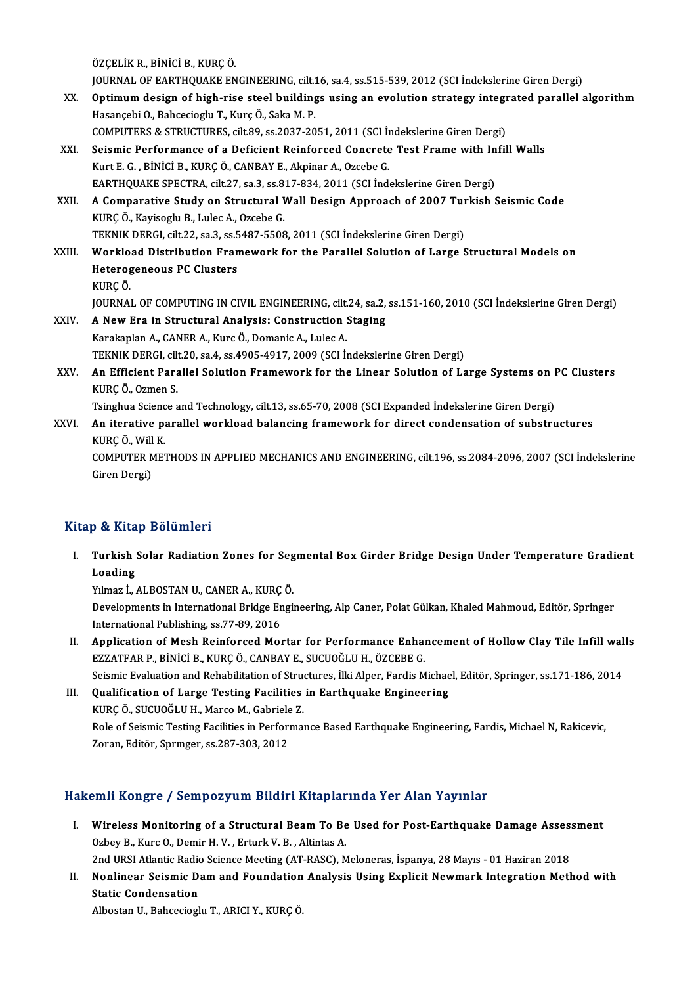ÖZÇELİKR.,BİNİCİB.,KURÇÖ.

ÖZÇELİK R., BİNİCİ B., KURÇ Ö.<br>JOURNAL OF EARTHQUAKE ENGINEERING, cilt.16, sa.4, ss.515-539, 2012 (SCI İndekslerine Giren Dergi)<br>Ontimum desisn of bish nise steel buildings using en evolution strategy integrated navallal s

- ÖZÇELİK R., BİNİCİ B., KURÇ Ö.<br>JOURNAL OF EARTHQUAKE ENGINEERING, cilt.16, sa.4, ss.515-539, 2012 (SCI İndekslerine Giren Dergi)<br>XX. Optimum design of high-rise steel buildings using an evolution strategy integrated pa JOURNAL OF EARTHQUAKE ENGINEERING, cilt.1<br>Optimum design of high-rise steel building<br>Hasançebi O., Bahcecioglu T., Kurç Ö., Saka M. P.<br>COMBUTERS & STRUCTURES, silt 80, 28.2027.20 XX. Optimum design of high-rise steel buildings using an evolution strategy integrated parallel algorithm<br>Hasançebi O., Bahcecioglu T., Kurç Ö., Saka M. P.<br>COMPUTERS & STRUCTURES, cilt.89, ss.2037-2051, 2011 (SCI İndeksler Hasançebi O., Bahcecioglu T., Kurç Ö., Saka M. P.<br>COMPUTERS & STRUCTURES, cilt.89, ss.2037-2051, 2011 (SCI İndekslerine Giren Dergi)<br>XXI. Seismic Performance of a Deficient Reinforced Concrete Test Frame with Infill Walls<br>
- Kurt E. G. , BİNİCİ B., KURÇ Ö., CANBAY E., Akpinar A., Ozcebe G.<br>EARTHQUAKE SPECTRA, cilt.27, sa.3, ss.817-834, 2011 (SCI İndekslerine Giren Dergi) Seismic Performance of a Deficient Reinforced Concrete Test Frame with In<br>Kurt E. G. , BİNİCİ B., KURÇ Ö., CANBAY E., Akpinar A., Ozcebe G.<br>EARTHQUAKE SPECTRA, cilt.27, sa.3, ss.817-834, 2011 (SCI İndekslerine Giren Dergi) Kurt E. G. , BİNİCİ B., KURÇ Ö., CANBAY E., Akpinar A., Ozcebe G.<br>EARTHQUAKE SPECTRA, cilt.27, sa.3, ss.817-834, 2011 (SCI İndekslerine Giren Dergi)<br>XXII. A Comparative Study on Structural Wall Design Approach of 2007 Turk
- EARTHQUAKE SPECTRA, cilt.27, sa.3, ss.8<br>A Comparative Study on Structural V<br>KURÇ Ö., Kayisoglu B., Lulec A., Ozcebe G.<br>TEKNIK DERCL silt 22, ss.2, SS 5487, EEQS A Comparative Study on Structural Wall Design Approach of 2007 Turk<br>URÇ Ö., Kayisoglu B., Lulec A., Ozcebe G.<br>TEKNIK DERGI, cilt.22, sa.3, ss.5487-5508, 2011 (SCI İndekslerine Giren Dergi)<br>Warklaad Distribution Eramowark f KURÇ Ö., Kayisoglu B., Lulec A., Ozcebe G.<br>TEKNIK DERGI, cilt.22, sa.3, ss.5487-5508, 2011 (SCI İndekslerine Giren Dergi)<br>XXIII. Workload Distribution Framework for the Parallel Solution of Large Structural Models on
- TEKNIK DERGI, cilt.22, sa.3, ss.5487-5508, 2011 (SCI İndekslerine Giren Dergi)<br>Workload Distribution Framework for the Parallel Solution of Large<br>Heterogeneous PC Clusters<br>KURC Ö. Heterogeneous PC Clusters Heterogeneous PC Clusters<br>KURÇ Ö.<br>JOURNAL OF COMPUTING IN CIVIL ENGINEERING, cilt.24, sa.2, ss.151-160, 2010 (SCI İndekslerine Giren Dergi)<br>A Now Ene in Strugtural Anglysis: Construction Staging
- XXIV. A New Era in Structural Analysis: Construction Staging<br>Karakaplan A., CANER A., Kurc Ö., Domanic A., Lulec A. JOURNAL OF COMPUTING IN CIVIL ENGINEERING, cilt.<br>A New Era in Structural Analysis: Construction :<br>Karakaplan A., CANER A., Kurc Ö., Domanic A., Lulec A.<br>TELNIK DEPCL silt 20, ss 4, ss 4005-4017-2000 (SCL). TEKNIK DERGI, cilt.20, sa.4, ss.4905-4917, 2009 (SCI İndekslerine Giren Dergi)
- Karakaplan A., CANER A., Kurc Ö., Domanic A., Lulec A.<br>TEKNIK DERGI, cilt.20, sa.4, ss.4905-4917, 2009 (SCI İndekslerine Giren Dergi)<br>XXV. An Efficient Parallel Solution Framework for the Linear Solution of Large Syste TEKNIK DERGI, cil<mark>l</mark><br>An Efficient Para<br>KURÇ Ö., Ozmen S.<br>Teingbue Ssiense s An Efficient Parallel Solution Framework for the Linear Solution of Large Systems on l<br>KURÇ Ö., Ozmen S.<br>Tsinghua Science and Technology, cilt.13, ss.65-70, 2008 (SCI Expanded İndekslerine Giren Dergi)<br>An iterative paralle

Tsinghua Science and Technology, cilt.13, ss.65-70, 2008 (SCI Expanded Indekslerine Giren Dergi)

KURÇ Ö., Ozmen S.<br>Tsinghua Science and Technology, cilt.13, ss.65-70, 2008 (SCI Expanded Indekslerine Giren Dergi)<br>XXVI. An iterative parallel workload balancing framework for direct condensation of substructures<br>KURÇ Ö., An iterative parallel workload balancing framework for direct condensation of substructures<br>KURÇ Ö., Will K.<br>COMPUTER METHODS IN APPLIED MECHANICS AND ENGINEERING, cilt.196, ss.2084-2096, 2007 (SCI İndekslerine<br>Ciron Dergi KURÇ Ö., Will<br>COMPUTER M<br>Giren Dergi)

# Giren Dergi)<br>Kitap & Kitap Bölümleri

itap & Kitap Bölümleri<br>I. Turkish Solar Radiation Zones for Segmental Box Girder Bridge Design Under Temperature Gradient<br>Loading pet kreat<br>Turkish<br>Loading<br>Vilmes İ Turkish Solar Radiation Zones for Seg<br>Loading<br>Yılmaz İ., ALBOSTAN U., CANER A., KURÇÖ.<br>Develenments in International Bridge Engil

Loading<br>Yılmaz İ., ALBOSTAN U., CANER A., KURÇ Ö.<br>Developments in International Bridge Engineering, Alp Caner, Polat Gülkan, Khaled Mahmoud, Editör, Springer<br>International Bublisbing, cs 77, 90, 2016. Yılmaz İ., ALBOSTAN U., CANER A., KURÇ<br>Developments in International Bridge En<br>International Publishing, ss.77-89, 2016<br>Annligation of Mosh Beinforced Mo Developments in International Bridge Engineering, Alp Caner, Polat Gülkan, Khaled Mahmoud, Editör, Springer<br>International Publishing, ss.77-89, 2016<br>II. Application of Mesh Reinforced Mortar for Performance Enhancement of

International Publishing, ss.77-89, 2016<br>Application of Mesh Reinforced Mortar for Performance Enhalt<br>EZZATFAR P., BİNİCİ B., KURÇ Ö., CANBAY E., SUCUOĞLU H., ÖZCEBE G.<br>Seismis Explustion and Pehabilitation of Structures, Application of Mesh Reinforced Mortar for Performance Enhancement of Hollow Clay Tile Infill wal<br>EZZATFAR P., BİNİCİ B., KURÇ Ö., CANBAY E., SUCUOĞLU H., ÖZCEBE G.<br>Seismic Evaluation and Rehabilitation of Structures, İlki EZZATFAR P., BINICI B., KURÇ Ö., CANBAY E., SUCUOĞLU H., ÖZCEBE G.<br>Seismic Evaluation and Rehabilitation of Structures, İlki Alper, Fardis Michael, Editör, Springer, ss.171-186, 2014<br>III. Qualification of Large Testing Fac

Seismic Evaluation and Rehabilitation of Strue<br>Qualification of Large Testing Facilities<br>KURÇ Ö., SUCUOĞLU H., Marco M., Gabriele Z.<br>Rola of Seismis Testing Facilities in Berformal Role of Seismic Testing Facilities in Performance Based Earthquake Engineering, Fardis, Michael N, Rakicevic,<br>Zoran, Editör, Springer, ss.287-303, 2012 KURÇ Ö., SUCUOĞLU H., Marco M., Gabriele<br>Role of Seismic Testing Facilities in Perforı<br>Zoran, Editör, Sprınger, ss.287-303, 2012

### Hakemli Kongre / Sempozyum Bildiri Kitaplarında Yer Alan Yayınlar

akemli Kongre / Sempozyum Bildiri Kitaplarında Yer Alan Yayınlar<br>I. Wireless Monitoring of a Structural Beam To Be Used for Post-Earthquake Damage Assessment<br>Orbey B. Kure O. Domin H. V., Erturk V. B., Altintes A. ORBETT HOLGA COMPONY AND MALLET HIMPTHENS<br>
Wireless Monitoring of a Structural Beam To Be<br>
Ozbey B., Kurc O., Demir H. V., Erturk V. B., Altintas A. Wireless Monitoring of a Structural Beam To Be Used for Post-Earthquake Damage Asses:<br>Ozbey B., Kurc O., Demir H. V. , Erturk V. B. , Altintas A.<br>2nd URSI Atlantic Radio Science Meeting (AT-RASC), Meloneras, İspanya, 28 Ma

Ozbey B., Kurc O., Demir H. V. , Erturk V. B. , Altintas A.<br>2nd URSI Atlantic Radio Science Meeting (AT-RASC), Meloneras, İspanya, 28 Mayıs - 01 Haziran 2018<br>II. Nonlinear Seismic Dam and Foundation Analysis Using Explicit 2nd URSI Atlantic Radio<br>Nonlinear Seismic D<br>Static Condensation<br>Albestan H. Babsesiast Nonlinear Seismic Dam and Foundation<br>Static Condensation<br>Albostan U., Bahcecioglu T., ARICI Y., KURÇ Ö.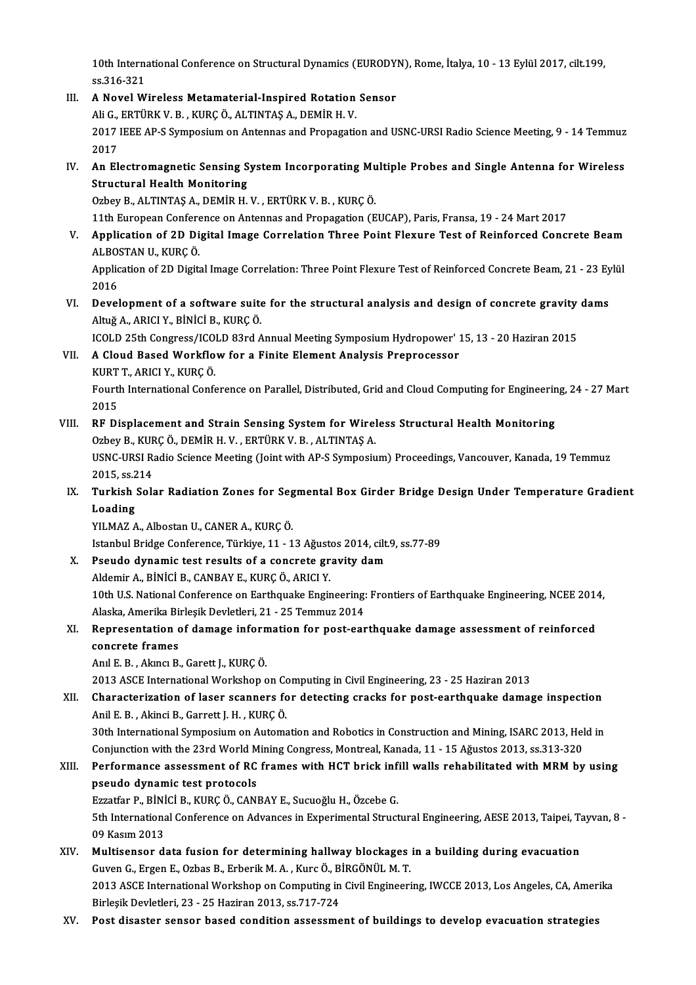10th International Conference on Structural Dynamics (EURODYN), Rome, İtalya, 10 - 13 Eylül 2017, cilt.199,<br>23.316.331 10th Internal<br>ss.316-321<br>A Novel W 10th International Conference on Structural Dynamics (EURODY)<br>
ss.316-321<br>
III. A Novel Wireless Metamaterial-Inspired Rotation Sensor<br>
Ali C EPTURK V B KURGÖ ALTINTAS A DEMIR H V

- ss.316-321<br>A Novel Wireless Metamaterial-Inspired Rotation<br>Ali G., ERTÜRK V. B. , KURÇ Ö., ALTINTAŞ A., DEMİR H. V.<br>2017 JEEE AR S Sympesium an Antannas and Proposati 111. A Novel Wireless Metamaterial-Inspired Rotation Sensor<br>Ali G., ERTÜRK V. B. , KURÇ Ö., ALTINTAŞ A., DEMİR H. V.<br>2017 IEEE AP-S Symposium on Antennas and Propagation and USNC-URSI Radio Science Meeting, 9 - 14 Temmuz<br>2 Ali G.,<br>2017<br>2017<br>An El 2017 IEEE AP-S Symposium on Antennas and Propagation and USNC-URSI Radio Science Meeting, 9 - 14 Temmuz<br>2017<br>IV. An Electromagnetic Sensing System Incorporating Multiple Probes and Single Antenna for Wireless<br>Structural Ha
- 2017<br>An Electromagnetic Sensing S<br>Structural Health Monitoring<br>Orbey B. ALTINTAS A. DEMIP H Structural Health Monitoring<br>Ozbey B., ALTINTAŞ A., DEMİR H. V. , ERTÜRK V. B. , KURÇ Ö.<br>11th European Conference on Antennas and Propagation (EUCAP), Paris, Fransa, 19 - 24 Mart 2017<br>Annligation of 2D Digital Image Correl

Structural Health Monitoring<br>Ozbey B., ALTINTAŞ A., DEMİR H. V., ERTÜRK V. B., KURÇÖ.

Ozbey B., ALTINTAŞ A., DEMİR H. V. , ERTÜRK V. B. , KURÇ Ö.<br>11th European Conference on Antennas and Propagation (EUCAP), Paris, Fransa, 19 - 24 Mart 2017<br>11. Application of 2D Digital Image Correlation Three Point Flexure 11th European Confere<br>Application of 2D Di<br>ALBOSTAN U., KURÇÖ.<br>Application of 2D Digits Application of 2D Digital Image Correlation Three Point Flexure Test of Reinforced Concrete Beam<br>ALBOSTAN U., KURÇ Ö.<br>Application of 2D Digital Image Correlation: Three Point Flexure Test of Reinforced Concrete Beam, 21 -

ALBOSTAN U., KURÇ Ö.<br>Application of 2D Digital Image Correlation: Three Point Flexure Test of Reinforced Concrete Beam, 21 - 23 Eylül<br>2016 Application of 2D Digital Image Correlation: Three Point Flexure Test of Reinforced Concrete Beam, 21 - 23 Ey<br>2016<br>VI. Development of a software suite for the structural analysis and design of concrete gravity dams<br>Altuž A

AltuğA.,ARICIY.,BİNİCİB.,KURÇÖ. Development of a software suite for the structural analysis and design of concrete gravity<br>Altuğ A., ARICI Y., BİNİCİ B., KURÇ Ö.<br>ICOLD 25th Congress/ICOLD 83rd Annual Meeting Symposium Hydropower' 15, 13 - 20 Haziran 2015

ICOLD 25th Congress/ICOLD 83rd Annual Meeting Symposium Hydropower' 15, 13 - 20 Haziran 2015

VII. A Cloud Based Workflow for a Finite Element Analysis Preprocessor<br>KURT T., ARICI Y., KURC Ö. A Cloud Based Workflow for a Finite Element Analysis Preprocessor<br>KURT T., ARICI Y., KURÇ Ö.<br>Fourth International Conference on Parallel, Distributed, Grid and Cloud Computing for Engineering, 24 - 27 Mart<br>2015

EURT<br>Fourt<br>2015<br>PE Di Fourth International Conference on Parallel, Distributed, Grid and Cloud Computing for Engineerin<br>2015<br>VIII. RF Displacement and Strain Sensing System for Wireless Structural Health Monitoring<br>20 November 20 November 1 Vir

2015<br>RF Displacement and Strain Sensing System for Wirel<br>Ozbey B., KURÇ Ö., DEMİR H. V. , ERTÜRK V. B. , ALTINTAŞ A.<br>USNC URSI Padia Science Meeting (Joint with AP S Symnesiu VIII. RF Displacement and Strain Sensing System for Wireless Structural Health Monitoring<br>Ozbey B., KURÇ Ö., DEMİR H. V., ERTÜRK V. B., ALTINTAŞ A.<br>USNC-URSI Radio Science Meeting (Joint with AP-S Symposium) Proceedings, V Ozbey B., KUF<br>USNC-URSI R.<br>2015, ss.214<br>Turkich Sols

USNC-URSI Radio Science Meeting (Joint with AP-S Symposium) Proceedings, Vancouver, Kanada, 19 Temmuz<br>2015, ss.214<br>IX. Turkish Solar Radiation Zones for Segmental Box Girder Bridge Design Under Temperature Gradient

2015, ss.2<br>Turkish<br>Loading<br>VU MAZ A Turkish Solar Radiation Zones for Seg<br>Loading<br>YILMAZ A., Albostan U., CANER A., KURÇÖ.<br>Istanbul Bridge Conference Türkiye 11, 1 Loading<br>YILMAZ A., Albostan U., CANER A., KURÇ Ö.<br>Istanbul Bridge Conference, Türkiye, 11 - 13 Ağustos 2014, cilt.9, ss.77-89<br>Reaude dynamis test results of a sensyste sreuity dam

YILMAZ A., Albostan U., CANER A., KURÇ Ö.<br>Istanbul Bridge Conference, Türkiye, 11 - 13 Ağustos 2014, cilt.<br>X. Pseudo dynamic test results of a concrete gravity dam Istanbul Bridge Conference, Türkiye, 11 - 13 Ağust<br>Pseudo dynamic test results of a concrete gr<br>Aldemir A., BİNİCİ B., CANBAY E., KURÇÖ., ARICI Y.<br>10th U.S. National Conference on Farthauelia Engir

Pseudo dynamic test results of a concrete gravity dam<br>Aldemir A., BİNİCİ B., CANBAY E., KURÇ Ö., ARICI Y.<br>10th U.S. National Conference on Earthquake Engineering: Frontiers of Earthquake Engineering, NCEE 2014,<br>Alaska Amer Aldemir A., BİNİCİ B., CANBAY E., KURÇ Ö., ARICI Y.<br>10th U.S. National Conference on Earthquake Engineering:<br>Alaska, Amerika Birleşik Devletleri, 21 - 25 Temmuz 2014<br>Bennesentation of damage information for post een 10th U.S. National Conference on Earthquake Engineering: Frontiers of Earthquake Engineering, NCEE 2014<br>Alaska, Amerika Birleşik Devletleri, 21 - 25 Temmuz 2014<br>XI. Representation of damage information for post-earthquake

## Alaska, Amerika Birleşik Devletleri, 21 - 25 Temmuz 2014<br>Representation of damage information for post-ear<br>concrete frames<br>Anl E. B. , Akıncı B., Garett J., KURÇ Ö. XI. Representation of damage information for post-earthquake damage assessment of reinforced

2013ASCEInternationalWorkshop onComputing inCivilEngineering,23 -25Haziran2013

Anıl E. B. , Akıncı B., Garett J., KURÇ Ö.<br>2013 ASCE International Workshop on Computing in Civil Engineering, 23 - 25 Haziran 2013<br>XII. Characterization of laser scanners for detecting cracks for post-earthquake damag 2013 ASCE International Workshop on Contracterization of laser scanners fo<br>Anil E. B. , Akinci B., Garrett J. H. , KURÇÖ.<br>20th International Symnosium on Autema Characterization of laser scanners for detecting cracks for post-earthquake damage inspection<br>Anil E. B. , Akinci B., Garrett J. H. , KURÇ Ö.<br>30th International Symposium on Automation and Robotics in Construction and Mini Anil E. B. , Akinci B., Garrett J. H. , KURÇ Ö.<br>30th International Symposium on Automation and Robotics in Construction and Mining, ISARC 2013, Held in<br>Conjunction with the 23rd World Mining Congress, Montreal, Kanada, 11

30th International Symposium on Automation and Robotics in Construction and Mining, ISARC 2013, Held in<br>Conjunction with the 23rd World Mining Congress, Montreal, Kanada, 11 - 15 Ağustos 2013, ss.313-320<br>XIII. Performance

## Conjunction with the 23rd World M<br>Performance assessment of RC<br>pseudo dynamic test protocols<br>Frastfor B, Pinici B, VIIPC Ö, CAN Performance assessment of RC frames with HCT brick infi<br>pseudo dynamic test protocols<br>Ezzatfar P., BİNİCİ B., KURÇ Ö., CANBAY E., Sucuoğlu H., Özcebe G.<br>Eth International Conference on Advances in Evnerimental Struct

Ezzatfar P., BİNİCİ B., KURÇ Ö., CANBAY E., Sucuoğlu H., Özcebe G.

pseudo dynamic test protocols<br>Ezzatfar P., BİNİCİ B., KURÇ Ö., CANBAY E., Sucuoğlu H., Özcebe G.<br>5th International Conference on Advances in Experimental Structural Engineering, AESE 2013, Taipei, Tayvan, 8 -<br>09 Kasım 2013 5th International Conference on Advances in Experimental Structural Engineering, AESE 2013, Taipei, Taipei, Ta<br>09 Kasım 2013<br>XIV. Multisensor data fusion for determining hallway blockages in a building during evacuation<br>Cu

- 09 Kasım 2013<br>Multisensor data fusion for determining hallway blockages<br>Guven G., Ergen E., Ozbas B., Erberik M. A. , Kurc Ö., BİRGÖNÜL M. T.<br>2012 ASCE International Werksber en Computing in Civil Engineeri Multisensor data fusion for determining hallway blockages in a building during evacuation<br>Guven G., Ergen E., Ozbas B., Erberik M. A. , Kurc Ö., BİRGÖNÜL M. T.<br>2013 ASCE International Workshop on Computing in Civil Enginee Guven G., Ergen E., Ozbas B., Erberik M. A. , Kurc Ö., B.<br>2013 ASCE International Workshop on Computing in<br>Birleşik Devletleri, 23 - 25 Haziran 2013, ss.717-724<br>Pest disaster sansar based sandition assessme 2013 ASCE International Workshop on Computing in Civil Engineering, IWCCE 2013, Los Angeles, CA, Amerika<br>Birleşik Devletleri, 23 - 25 Haziran 2013, ss.717-724<br>XV. Post disaster sensor based condition assessment of buil
-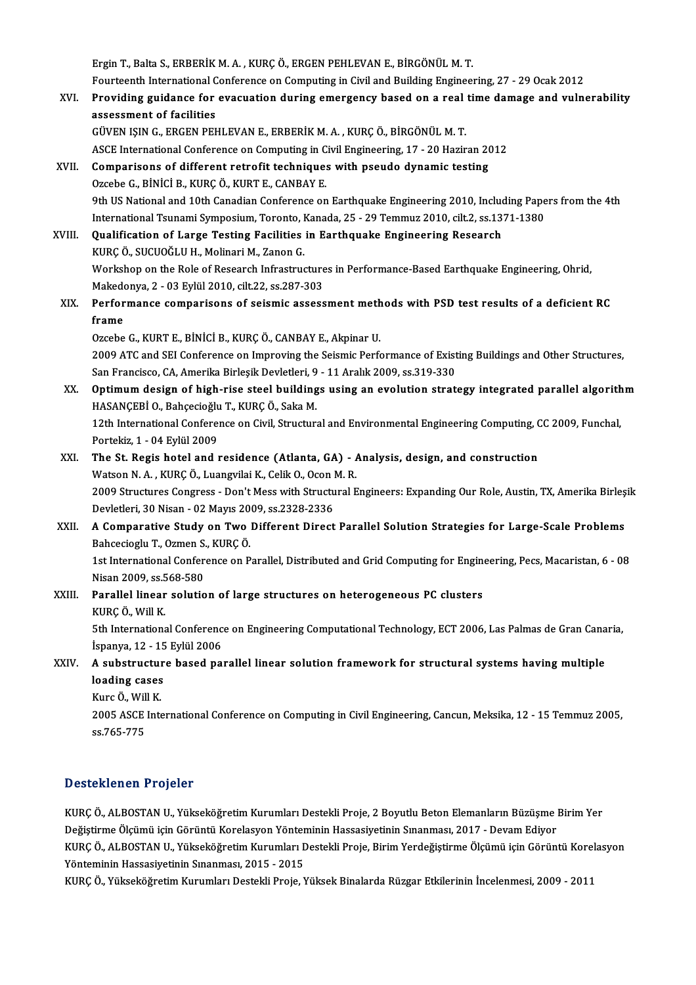Ergin T., Balta S., ERBERİK M. A., KURÇÖ., ERGEN PEHLEVAN E., BİRGÖNÜL M. T. Ergin T., Balta S., ERBERİK M. A. , KURÇ Ö., ERGEN PEHLEVAN E., BİRGÖNÜL M. T.<br>Fourteenth International Conference on Computing in Civil and Building Engineering, 27 - 29 Ocak 2012<br>Previding guidanee for evocuation during Ergin T., Balta S., ERBERİK M. A. , KURÇ Ö., ERGEN PEHLEVAN E., BİRGÖNÜL M. T.<br>Fourteenth International Conference on Computing in Civil and Building Engineering, 27 - 29 Ocak 2012<br>XVI. Providing guidance for evacuation du Fourteenth International C<br>Providing guidance for<br>assessment of facilities<br>CÜVEN ISIN C. ERCEN PEL Providing guidance for evacuation during emergency based on a real time damage and vulnerability<br>assessment of facilities<br>GÜVEN IŞIN G., ERGEN PEHLEVAN E., ERBERİK M. A. , KURÇ Ö., BİRGÖNÜL M. T. ASCE International Conference on Computing in Civil Engineering, 17 - 20 Haziran 2012 GÜVEN IŞIN G., ERGEN PEHLEVAN E., ERBERİK M. A., KURÇ Ö., BİRGÖNÜL M. T.<br>ASCE International Conference on Computing in Civil Engineering, 17 - 20 Haziran 20<br>XVII. Comparisons of different retrofit techniques with pseudo dy ASCE International Conference on Computing in C<br>Comparisons of different retrofit techniques<br>Ozcebe G., BİNİCİ B., KURÇÖ., KURT E., CANBAY E.<br>Oth US National and 10th Canadian Conference on 0zcebe G., BİNİCİ B., KURÇ Ö., KURT E., CANBAY E.<br>9th US National and 10th Canadian Conference on Earthquake Engineering 2010, Including Papers from the 4th Ozcebe G., BİNİCİ B., KURÇ Ö., KURT E., CANBAY E.<br>9th US National and 10th Canadian Conference on Earthquake Engineering 2010, Including Pape<br>International Tsunami Symposium, Toronto, Kanada, 25 - 29 Temmuz 2010, cilt.2, s 9th US National and 10th Canadian Conference on Earthquake Engineering 2010, Include<br>International Tsunami Symposium, Toronto, Kanada, 25 - 29 Temmuz 2010, cilt.2, ss.13<br>XVIII. Qualification of Large Testing Facilities in International Tsunami Symposium, Toronto, I<br>**Qualification of Large Testing Facilities**<br>KURÇ Ö., SUCUOĞLU H., Molinari M., Zanon G.<br>Workshop on the Pole of Pessensh Infrestrue Qualification of Large Testing Facilities in Earthquake Engineering Research<br>KURÇ Ö., SUCUOĞLU H., Molinari M., Zanon G.<br>Workshop on the Role of Research Infrastructures in Performance-Based Earthquake Engineering, Ohrid, KURÇ Ö., SUCUOĞLU H., Molinari M., Zanon G.<br>Workshop on the Role of Research Infrastructure<br>Makedonya, 2 - 03 Eylül 2010, cilt.22, ss.287-303<br>Performanee comporisone of seismis assess Workshop on the Role of Research Infrastructures in Performance-Based Earthquake Engineering, Ohrid,<br>Makedonya, 2 - 03 Eylül 2010, cilt.22, ss.287-303<br>XIX. Performance comparisons of seismic assessment methods with PSD tes Makedo<br>Perfor<br>frame Performance comparisons of seismic assessment meth<br>frame<br>Ozcebe G., KURT E., BİNİCİ B., KURÇ Ö., CANBAY E., Akpinar U.<br>2000 ATC and SEL Conference on Improving the Seismic Borfo frame<br>Ozcebe G., KURT E., BİNİCİ B., KURÇ Ö., CANBAY E., Akpinar U.<br>2009 ATC and SEI Conference on Improving the Seismic Performance of Existing Buildings and Other Structures,<br>San Exangiase, CA. Amerika Birlesik Devletler Ozcebe G., KURT E., BİNİCİ B., KURÇ Ö., CANBAY E., Akpinar U.<br>2009 ATC and SEI Conference on Improving the Seismic Performance of Exist<br>San Francisco, CA, Amerika Birleşik Devletleri, 9 - 11 Aralık 2009, ss.319-330<br>Ontimum 2009 ATC and SEI Conference on Improving the Seismic Performance of Existing Buildings and Other Structures,<br>San Francisco, CA, Amerika Birleşik Devletleri, 9 - 11 Aralık 2009, ss.319-330<br>XX. Optimum design of high-rise st San Francisco, CA, Amerika Birleşik Devletleri, 9<br>**Optimum design of high-rise steel building**<br>HASANÇEBİ O., Bahçecioğlu T., KURÇ Ö., Saka M.<br>12th International Conference on Civil Structur. 0ptimum design of high-rise steel buildings using an evolution strategy integrated parallel algorith<br>HASANÇEBİ 0., Bahçecioğlu T., KURÇ Ö., Saka M.<br>12th International Conference on Civil, Structural and Environmental Engin HASANÇEBİ O., Bahçecioğlu T., KURÇ Ö., Saka M.<br>12th International Conference on Civil, Structural and Environmental Engineering Computing, CC 2009, Funchal,<br>Portekiz, 1 - 04 Eylül 2009 12th International Conference on Civil, Structural and Environmental Engineering Computing, C<br>Portekiz, 1 - 04 Eylül 2009<br>XXI. The St. Regis hotel and residence (Atlanta, GA) - Analysis, design, and construction<br>Watson N.A Portekiz, 1 - 04 Eylül 2009<br>The St. Regis hotel and residence (Atlanta, GA) - 1<br>Watson N. A. , KURÇ Ö., Luangvilai K., Celik O., Ocon M. R.<br>2009 Structures Congress - Don't Mess uith Structurel E The St. Regis hotel and residence (Atlanta, GA) - Analysis, design, and construction<br>Watson N. A. , KURÇ Ö., Luangvilai K., Celik O., Ocon M. R.<br>2009 Structures Congress - Don't Mess with Structural Engineers: Expanding Ou Watson N. A. , KURÇ Ö., Luangvilai K., Celik O., Ocon 1<br>2009 Structures Congress - Don't Mess with Structu<br>Devletleri, 30 Nisan - 02 Mayıs 2009, ss.2328-2336<br>A Comporative Study on Two Different Dipect Devletleri, 30 Nisan - 02 Mayıs 2009, ss.2328-2336<br>XXII. A Comparative Study on Two Different Direct Parallel Solution Strategies for Large-Scale Problems Devletleri, 30 Nisan - 02 Mayıs 20<br>**A Comparative Study on Two**<br>Bahcecioglu T., Ozmen S., KURÇ Ö.<br>1st International Conference on B 1st International Conference on Parallel, Distributed and Grid Computing for Engineering, Pecs, Macaristan, 6 - 08<br>Nisan 2009, ss.568-580 Bahcecioglu T., Ozmen S.<br>1st International Confer<br>Nisan 2009, ss.568-580<br>Parallal linear solutio 1st International Conference on Parallel, Distributed and Grid Computing for Engine<br>Nisan 2009, ss.568-580<br>XXIII. Parallel linear solution of large structures on heterogeneous PC clusters<br>VIIDC Ö. Will V Nisan 2009, ss.5<br><mark>Parallel linear</mark><br>KURÇ Ö., Will K.<br>Eth Internations Parallel linear solution of large structures on heterogeneous PC clusters<br>KURÇ Ö., Will K.<br>5th International Conference on Engineering Computational Technology, ECT 2006, Las Palmas de Gran Canaria,<br>Ispanya 12, 15 Fylül 20 KURÇ Ö., Will K.<br>5th International Conferenc<br>İspanya, 12 - 15 Eylül 2006<br>A substrusture based ne 5th International Conference on Engineering Computational Technology, ECT 2006, Las Palmas de Gran Cana<br>İspanya, 12 - 15 Eylül 2006<br>XXIV. A substructure based parallel linear solution framework for structural systems havin loading 12 - 15 Eylül 2006<br>A substructure based pa<br>loading cases A substructure based parallel linear solution framework for structural systems having multiple 2005 ASCE International Conference on Computing in Civil Engineering, Cancun, Meksika, 12 - 15 Temmuz 2005, ss.765-775 Kurc Ö., Will K.

#### Desteklenen Projeler

Desteklenen Projeler<br>KURÇ Ö., ALBOSTAN U., Yükseköğretim Kurumları Destekli Proje, 2 Boyutlu Beton Elemanların Büzüşme Birim Yer<br>Değiştinme Ölgümü isin Cözüntü Karelasyan Yönteminin Hassesiyetinin Sınanması, 2017, Dayam Ed Değiştirmen in Teyerer<br>KURÇ Ö., ALBOSTAN U., Yükseköğretim Kurumları Destekli Proje, 2 Boyutlu Beton Elemanların Büzüşme l<br>Değiştirme Ölçümü için Görüntü Korelasyon Yönteminin Hassasiyetinin Sınanması, 2017 - Devam Ediyor<br> KURÇ Ö., ALBOSTAN U., Yükseköğretim Kurumları Destekli Proje, 2 Boyutlu Beton Elemanların Büzüşme Birim Yer<br>Değiştirme Ölçümü için Görüntü Korelasyon Yönteminin Hassasiyetinin Sınanması, 2017 - Devam Ediyor<br>KURÇ Ö., ALBOST Değiştirme Ölçümü için Görüntü Korelasyon Yönteminin Hassasiyetinin Sınanması, 2017 - Devam Ediyor<br>KURÇ Ö., ALBOSTAN U., Yükseköğretim Kurumları Destekli Proje, Birim Yerdeğiştirme Ölçümü için Görüntü Korelasyon<br>Yönteminin

KURÇÖ., Yükseköğretim Kurumları Destekli Proje, Yüksek Binalarda Rüzgar Etkilerinin İncelenmesi, 2009 - 2011